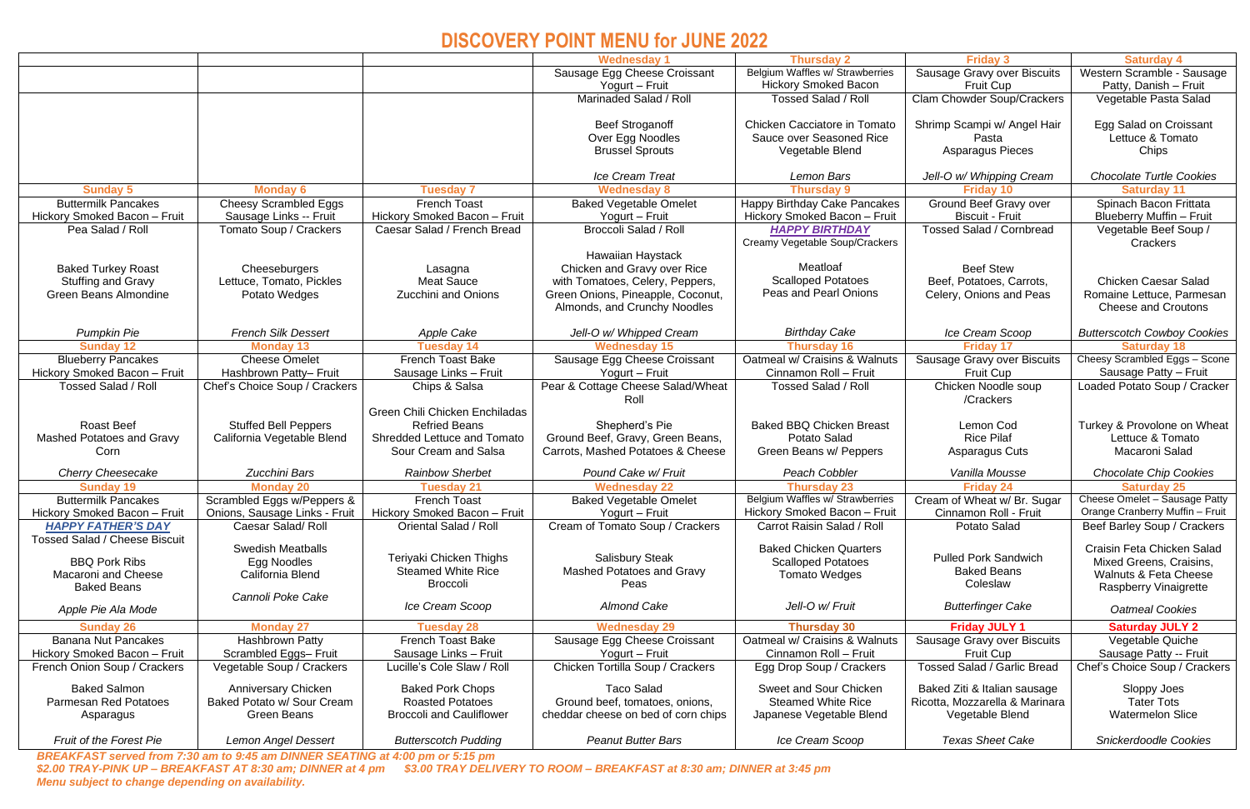# **DISCOVERY POINT MENU for JUNE 2022**

|                                      |                               |                                    | <b>Wednesday 1</b>                  | <b>Thursday 2</b>               | <b>Friday 3</b>                    | <b>Saturday 4</b>                  |
|--------------------------------------|-------------------------------|------------------------------------|-------------------------------------|---------------------------------|------------------------------------|------------------------------------|
|                                      |                               |                                    | Sausage Egg Cheese Croissant        | Belgium Waffles w/ Strawberries | Sausage Gravy over Biscuits        | Western Scramble - Sausage         |
|                                      |                               |                                    | Yogurt - Fruit                      | <b>Hickory Smoked Bacon</b>     | Fruit Cup                          | Patty, Danish - Fruit              |
|                                      |                               |                                    | Marinaded Salad / Roll              | <b>Tossed Salad / Roll</b>      | <b>Clam Chowder Soup/Crackers</b>  | Vegetable Pasta Salad              |
|                                      |                               |                                    |                                     |                                 |                                    |                                    |
|                                      |                               |                                    | <b>Beef Stroganoff</b>              | Chicken Cacciatore in Tomato    | Shrimp Scampi w/ Angel Hair        | Egg Salad on Croissant             |
|                                      |                               |                                    | Over Egg Noodles                    | Sauce over Seasoned Rice        | Pasta                              | Lettuce & Tomato                   |
|                                      |                               |                                    | <b>Brussel Sprouts</b>              | Vegetable Blend                 | Asparagus Pieces                   | Chips                              |
|                                      |                               |                                    |                                     |                                 |                                    |                                    |
|                                      |                               |                                    | <b>Ice Cream Treat</b>              | <b>Lemon Bars</b>               | Jell-O w/ Whipping Cream           | <b>Chocolate Turtle Cookies</b>    |
| <b>Sunday 5</b>                      | <b>Monday 6</b>               | <b>Tuesday 7</b>                   | <b>Wednesday 8</b>                  | <b>Thursday 9</b>               | <b>Friday 10</b>                   | <b>Saturday 11</b>                 |
| <b>Buttermilk Pancakes</b>           | <b>Cheesy Scrambled Eggs</b>  | <b>French Toast</b>                | <b>Baked Vegetable Omelet</b>       | Happy Birthday Cake Pancakes    | Ground Beef Gravy over             | Spinach Bacon Frittata             |
| Hickory Smoked Bacon - Fruit         | Sausage Links -- Fruit        | Hickory Smoked Bacon - Fruit       | Yogurt - Fruit                      | Hickory Smoked Bacon - Fruit    | <b>Biscuit - Fruit</b>             | Blueberry Muffin - Fruit           |
| Pea Salad / Roll                     | Tomato Soup / Crackers        | Caesar Salad / French Bread        | <b>Broccoli Salad / Roll</b>        | <b>HAPPY BIRTHDAY</b>           | <b>Tossed Salad / Cornbread</b>    | Vegetable Beef Soup /              |
|                                      |                               |                                    |                                     | Creamy Vegetable Soup/Crackers  |                                    | Crackers                           |
|                                      |                               |                                    | Hawaiian Haystack                   |                                 |                                    |                                    |
| <b>Baked Turkey Roast</b>            | Cheeseburgers                 | Lasagna                            | Chicken and Gravy over Rice         | Meatloaf                        | <b>Beef Stew</b>                   |                                    |
| <b>Stuffing and Gravy</b>            | Lettuce, Tomato, Pickles      | <b>Meat Sauce</b>                  | with Tomatoes, Celery, Peppers,     | <b>Scalloped Potatoes</b>       | Beef, Potatoes, Carrots,           | <b>Chicken Caesar Salad</b>        |
| <b>Green Beans Almondine</b>         | Potato Wedges                 | <b>Zucchini and Onions</b>         | Green Onions, Pineapple, Coconut,   | Peas and Pearl Onions           | Celery, Onions and Peas            | Romaine Lettuce, Parmesan          |
|                                      |                               |                                    | Almonds, and Crunchy Noodles        |                                 |                                    | <b>Cheese and Croutons</b>         |
|                                      |                               |                                    |                                     |                                 |                                    |                                    |
| <b>Pumpkin Pie</b>                   | <b>French Silk Dessert</b>    | <b>Apple Cake</b>                  | Jell-O w/ Whipped Cream             | <b>Birthday Cake</b>            | Ice Cream Scoop                    | <b>Butterscotch Cowboy Cookies</b> |
| <b>Sunday 12</b>                     | <b>Monday 13</b>              | <b>Tuesday 14</b>                  | <b>Wednesday 15</b>                 | <b>Thursday 16</b>              | <b>Friday 17</b>                   | <b>Saturday 18</b>                 |
| <b>Blueberry Pancakes</b>            | <b>Cheese Omelet</b>          | <b>French Toast Bake</b>           | Sausage Egg Cheese Croissant        | Oatmeal w/ Craisins & Walnuts   | Sausage Gravy over Biscuits        | Cheesy Scrambled Eggs - Scone      |
| Hickory Smoked Bacon - Fruit         | Hashbrown Patty- Fruit        | Sausage Links - Fruit              | Yogurt - Fruit                      | Cinnamon Roll - Fruit           | Fruit Cup                          | Sausage Patty - Fruit              |
| <b>Tossed Salad / Roll</b>           | Chef's Choice Soup / Crackers | Chips & Salsa                      | Pear & Cottage Cheese Salad/Wheat   | <b>Tossed Salad / Roll</b>      | Chicken Noodle soup                | Loaded Potato Soup / Cracker       |
|                                      |                               |                                    | Roll                                |                                 | /Crackers                          |                                    |
|                                      |                               | Green Chili Chicken Enchiladas     |                                     |                                 |                                    |                                    |
| <b>Roast Beef</b>                    | <b>Stuffed Bell Peppers</b>   | <b>Refried Beans</b>               | Shepherd's Pie                      | <b>Baked BBQ Chicken Breast</b> | Lemon Cod                          | Turkey & Provolone on Wheat        |
| <b>Mashed Potatoes and Gravy</b>     | California Vegetable Blend    | <b>Shredded Lettuce and Tomato</b> | Ground Beef, Gravy, Green Beans,    | <b>Potato Salad</b>             | <b>Rice Pilaf</b>                  | Lettuce & Tomato                   |
| Corn                                 |                               | Sour Cream and Salsa               | Carrots, Mashed Potatoes & Cheese   | Green Beans w/ Peppers          | <b>Asparagus Cuts</b>              | Macaroni Salad                     |
| <b>Cherry Cheesecake</b>             | Zucchini Bars                 | <b>Rainbow Sherbet</b>             | Pound Cake w/ Fruit                 | <b>Peach Cobbler</b>            | Vanilla Mousse                     | <b>Chocolate Chip Cookies</b>      |
| <b>Sunday 19</b>                     | <b>Monday 20</b>              | <b>Tuesday 21</b>                  | <b>Wednesday 22</b>                 | <b>Thursday 23</b>              | <b>Friday 24</b>                   | <b>Saturday 25</b>                 |
| <b>Buttermilk Pancakes</b>           | Scrambled Eggs w/Peppers &    | <b>French Toast</b>                | <b>Baked Vegetable Omelet</b>       | Belgium Waffles w/ Strawberries | Cream of Wheat w/ Br. Sugar        | Cheese Omelet - Sausage Patty      |
| Hickory Smoked Bacon - Fruit         | Onions, Sausage Links - Fruit | Hickory Smoked Bacon - Fruit       | Yogurt - Fruit                      | Hickory Smoked Bacon - Fruit    | Cinnamon Roll - Fruit              | Orange Cranberry Muffin - Fruit    |
| <b>HAPPY FATHER'S DAY</b>            | Caesar Salad/Roll             | Oriental Salad / Roll              | Cream of Tomato Soup / Crackers     | Carrot Raisin Salad / Roll      | <b>Potato Salad</b>                | Beef Barley Soup / Crackers        |
| <b>Tossed Salad / Cheese Biscuit</b> |                               |                                    |                                     |                                 |                                    |                                    |
|                                      | <b>Swedish Meatballs</b>      | Teriyaki Chicken Thighs            | <b>Salisbury Steak</b>              | <b>Baked Chicken Quarters</b>   | <b>Pulled Pork Sandwich</b>        | Craisin Feta Chicken Salad         |
| <b>BBQ Pork Ribs</b>                 | Egg Noodles                   | <b>Steamed White Rice</b>          | Mashed Potatoes and Gravy           | <b>Scalloped Potatoes</b>       | <b>Baked Beans</b>                 | Mixed Greens, Craisins,            |
| <b>Macaroni and Cheese</b>           | California Blend              | <b>Broccoli</b>                    | Peas                                | <b>Tomato Wedges</b>            | Coleslaw                           | <b>Walnuts &amp; Feta Cheese</b>   |
| <b>Baked Beans</b>                   | Cannoli Poke Cake             |                                    |                                     |                                 |                                    | <b>Raspberry Vinaigrette</b>       |
| Apple Pie Ala Mode                   |                               | Ice Cream Scoop                    | <b>Almond Cake</b>                  | Jell-O w/ Fruit                 | <b>Butterfinger Cake</b>           | <b>Oatmeal Cookies</b>             |
| <b>Sunday 26</b>                     | <b>Monday 27</b>              | <b>Tuesday 28</b>                  | <b>Wednesday 29</b>                 | <b>Thursday 30</b>              | <b>Friday JULY 1</b>               | <b>Saturday JULY 2</b>             |
| <b>Banana Nut Pancakes</b>           | Hashbrown Patty               | <b>French Toast Bake</b>           | Sausage Egg Cheese Croissant        | Oatmeal w/ Craisins & Walnuts   | Sausage Gravy over Biscuits        | Vegetable Quiche                   |
| Hickory Smoked Bacon - Fruit         | Scrambled Eggs-Fruit          | Sausage Links - Fruit              | Yogurt – Fruit                      | Cinnamon Roll - Fruit           | <b>Fruit Cup</b>                   | Sausage Patty -- Fruit             |
| French Onion Soup / Crackers         | Vegetable Soup / Crackers     | Lucille's Cole Slaw / Roll         | Chicken Tortilla Soup / Crackers    | Egg Drop Soup / Crackers        | <b>Tossed Salad / Garlic Bread</b> | Chef's Choice Soup / Crackers      |
|                                      |                               |                                    |                                     |                                 |                                    |                                    |
| <b>Baked Salmon</b>                  | <b>Anniversary Chicken</b>    | <b>Baked Pork Chops</b>            | <b>Taco Salad</b>                   | Sweet and Sour Chicken          | Baked Ziti & Italian sausage       | Sloppy Joes                        |
| <b>Parmesan Red Potatoes</b>         | Baked Potato w/ Sour Cream    | <b>Roasted Potatoes</b>            | Ground beef, tomatoes, onions,      | <b>Steamed White Rice</b>       | Ricotta, Mozzarella & Marinara     | <b>Tater Tots</b>                  |
| Asparagus                            | <b>Green Beans</b>            | <b>Broccoli and Cauliflower</b>    | cheddar cheese on bed of corn chips | Japanese Vegetable Blend        | Vegetable Blend                    | <b>Watermelon Slice</b>            |
|                                      |                               |                                    |                                     |                                 |                                    |                                    |
| <b>Fruit of the Forest Pie</b>       | <b>Lemon Angel Dessert</b>    | <b>Butterscotch Pudding</b>        | <b>Peanut Butter Bars</b>           | Ice Cream Scoop                 | <b>Texas Sheet Cake</b>            | <b>Snickerdoodle Cookies</b>       |

*BREAKFAST served from 7:30 am to 9:45 am DINNER SEATING at 4:00 pm or 5:15 pm \$2.00 TRAY-PINK UP – BREAKFAST AT 8:30 am; DINNER at 4 pm \$3.00 TRAY DELIVERY TO ROOM – BREAKFAST at 8:30 am; DINNER at 3:45 pm Menu subject to change depending on availability.*